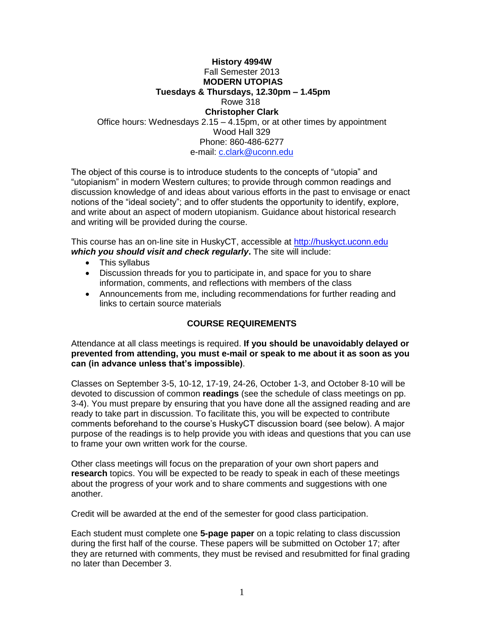## **History 4994W** Fall Semester 2013 **MODERN UTOPIAS Tuesdays & Thursdays, 12.30pm – 1.45pm** Rowe 318 **Christopher Clark** Office hours: Wednesdays 2.15 – 4.15pm, or at other times by appointment Wood Hall 329 Phone: 860-486-6277

e-mail: [c.clark@uconn.edu](mailto:c.clark@uconn.edu)

The object of this course is to introduce students to the concepts of "utopia" and "utopianism" in modern Western cultures; to provide through common readings and discussion knowledge of and ideas about various efforts in the past to envisage or enact notions of the "ideal society"; and to offer students the opportunity to identify, explore, and write about an aspect of modern utopianism. Guidance about historical research and writing will be provided during the course.

This course has an on-line site in HuskyCT, accessible at [http://huskyct.uconn.edu](http://huskyct.uconn.edu/) *which you should visit and check regularly***.** The site will include:

- This syllabus
- Discussion threads for you to participate in, and space for you to share information, comments, and reflections with members of the class
- Announcements from me, including recommendations for further reading and links to certain source materials

# **COURSE REQUIREMENTS**

Attendance at all class meetings is required. **If you should be unavoidably delayed or prevented from attending, you must e-mail or speak to me about it as soon as you can (in advance unless that's impossible)**.

Classes on September 3-5, 10-12, 17-19, 24-26, October 1-3, and October 8-10 will be devoted to discussion of common **readings** (see the schedule of class meetings on pp. 3-4). You must prepare by ensuring that you have done all the assigned reading and are ready to take part in discussion. To facilitate this, you will be expected to contribute comments beforehand to the course's HuskyCT discussion board (see below). A major purpose of the readings is to help provide you with ideas and questions that you can use to frame your own written work for the course.

Other class meetings will focus on the preparation of your own short papers and **research** topics. You will be expected to be ready to speak in each of these meetings about the progress of your work and to share comments and suggestions with one another.

Credit will be awarded at the end of the semester for good class participation.

Each student must complete one **5-page paper** on a topic relating to class discussion during the first half of the course. These papers will be submitted on October 17; after they are returned with comments, they must be revised and resubmitted for final grading no later than December 3.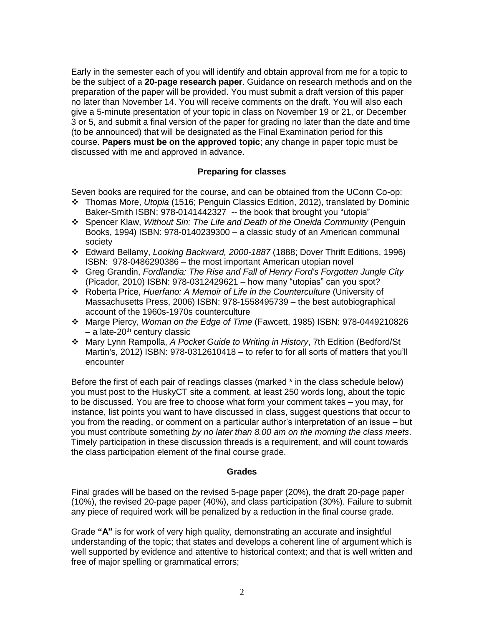Early in the semester each of you will identify and obtain approval from me for a topic to be the subject of a **20-page research paper**. Guidance on research methods and on the preparation of the paper will be provided. You must submit a draft version of this paper no later than November 14. You will receive comments on the draft. You will also each give a 5-minute presentation of your topic in class on November 19 or 21, or December 3 or 5, and submit a final version of the paper for grading no later than the date and time (to be announced) that will be designated as the Final Examination period for this course. **Papers must be on the approved topic**; any change in paper topic must be discussed with me and approved in advance.

## **Preparing for classes**

Seven books are required for the course, and can be obtained from the UConn Co-op:

- Thomas More, *Utopia* (1516; Penguin Classics Edition, 2012), translated by Dominic Baker-Smith ISBN: 978-0141442327 -- the book that brought you "utopia"
- Spencer Klaw, *Without Sin: The Life and Death of the Oneida Community* (Penguin Books, 1994) ISBN: 978-0140239300 – a classic study of an American communal society
- Edward Bellamy, *Looking Backward, 2000-1887* (1888; Dover Thrift Editions, 1996) ISBN: 978-0486290386 – the most important American utopian novel
- Greg Grandin, *Fordlandia: The Rise and Fall of Henry Ford's Forgotten Jungle City* (Picador, 2010) ISBN: 978-0312429621 – how many "utopias" can you spot?
- Roberta Price, *Huerfano: A Memoir of Life in the Counterculture* (University of Massachusetts Press, 2006) ISBN: 978-1558495739 – the best autobiographical account of the 1960s-1970s counterculture
- Marge Piercy, *Woman on the Edge of Time* (Fawcett, 1985) ISBN: 978-0449210826  $-$  a late-20<sup>th</sup> century classic
- Mary Lynn Rampolla, *A Pocket Guide to Writing in History*, 7th Edition (Bedford/St Martin's, 2012) ISBN: 978-0312610418 – to refer to for all sorts of matters that you'll encounter

Before the first of each pair of readings classes (marked \* in the class schedule below) you must post to the HuskyCT site a comment, at least 250 words long, about the topic to be discussed. You are free to choose what form your comment takes – you may, for instance, list points you want to have discussed in class, suggest questions that occur to you from the reading, or comment on a particular author's interpretation of an issue – but you must contribute something *by no later than 8.00 am on the morning the class meets*. Timely participation in these discussion threads is a requirement, and will count towards the class participation element of the final course grade.

#### **Grades**

Final grades will be based on the revised 5-page paper (20%), the draft 20-page paper (10%), the revised 20-page paper (40%), and class participation (30%). Failure to submit any piece of required work will be penalized by a reduction in the final course grade.

Grade **"A"** is for work of very high quality, demonstrating an accurate and insightful understanding of the topic; that states and develops a coherent line of argument which is well supported by evidence and attentive to historical context; and that is well written and free of major spelling or grammatical errors;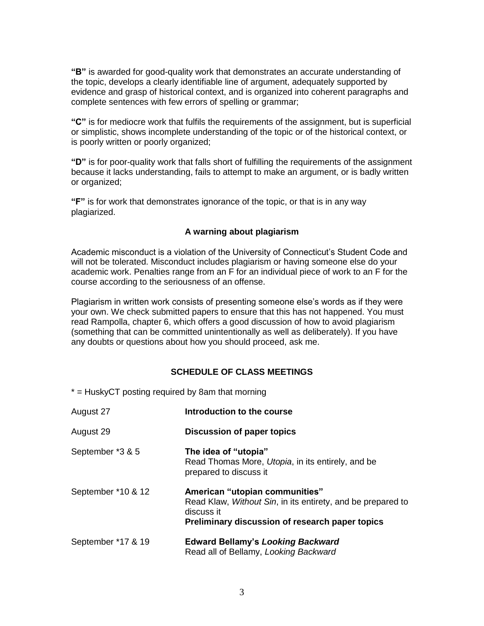**"B"** is awarded for good-quality work that demonstrates an accurate understanding of the topic, develops a clearly identifiable line of argument, adequately supported by evidence and grasp of historical context, and is organized into coherent paragraphs and complete sentences with few errors of spelling or grammar;

**"C"** is for mediocre work that fulfils the requirements of the assignment, but is superficial or simplistic, shows incomplete understanding of the topic or of the historical context, or is poorly written or poorly organized;

**"D"** is for poor-quality work that falls short of fulfilling the requirements of the assignment because it lacks understanding, fails to attempt to make an argument, or is badly written or organized;

**"F"** is for work that demonstrates ignorance of the topic, or that is in any way plagiarized.

## **A warning about plagiarism**

Academic misconduct is a violation of the University of Connecticut's Student Code and will not be tolerated. Misconduct includes plagiarism or having someone else do your academic work. Penalties range from an F for an individual piece of work to an F for the course according to the seriousness of an offense.

Plagiarism in written work consists of presenting someone else's words as if they were your own. We check submitted papers to ensure that this has not happened. You must read Rampolla, chapter 6, which offers a good discussion of how to avoid plagiarism (something that can be committed unintentionally as well as deliberately). If you have any doubts or questions about how you should proceed, ask me.

## **SCHEDULE OF CLASS MEETINGS**

 $*$  = HuskyCT posting required by 8am that morning

| August 27          | Introduction to the course                                                                                                                                     |
|--------------------|----------------------------------------------------------------------------------------------------------------------------------------------------------------|
| August 29          | <b>Discussion of paper topics</b>                                                                                                                              |
| September *3 & 5   | The idea of "utopia"<br>Read Thomas More, Utopia, in its entirely, and be<br>prepared to discuss it                                                            |
| September *10 & 12 | American "utopian communities"<br>Read Klaw, Without Sin, in its entirety, and be prepared to<br>discuss it<br>Preliminary discussion of research paper topics |
| September *17 & 19 | <b>Edward Bellamy's Looking Backward</b><br>Read all of Bellamy, Looking Backward                                                                              |